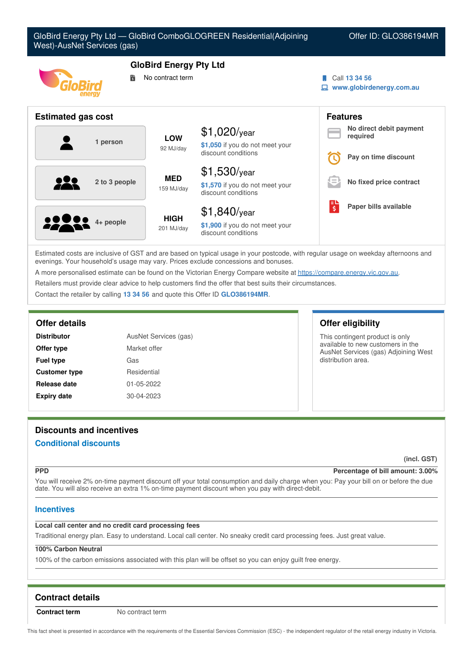| Offer ID: GLO386194MR    |
|--------------------------|
|                          |
|                          |
| www.globirdenergy.com.au |
|                          |
| No direct debit payment  |
| Pay on time discount     |
|                          |
| No fixed price contract  |
| Paper bills available    |
|                          |
|                          |

Estimated costs are inclusive of GST and are based on typical usage in your postcode, with regular usage on weekday afternoons and evenings. Your household's usage may vary. Prices exclude concessions and bonuses.

discount conditions

A more personalised estimate can be found on the Victorian Energy Compare website at <https://compare.energy.vic.gov.au>.

Retailers must provide clear advice to help customers find the offer that best suits their circumstances.

Contact the retailer by calling **13 34 56** and quote this Offer ID **GLO386194MR**.

| <b>Distributor</b>   | AusNet Services (gas) |  |
|----------------------|-----------------------|--|
| Offer type           | Market offer          |  |
| <b>Fuel type</b>     | Gas                   |  |
| <b>Customer type</b> | Residential           |  |
| <b>Release date</b>  | 01-05-2022            |  |
| <b>Expiry date</b>   | 30-04-2023            |  |

# **Offer details Offer eligibility**

This contingent product is only available to new customers in the AusNet Services (gas) Adjoining West distribution area.

# **Discounts and incentives**

# **Conditional discounts**

**(incl. GST)**

# **PPD Percentage of bill amount: 3.00%**

You will receive 2% on-time payment discount off your total consumption and daily charge when you: Pay your bill on or before the due date. You will also receive an extra 1% on-time payment discount when you pay with direct-debit.

# **Incentives**

# **Local call center and no credit card processing fees**

Traditional energy plan. Easy to understand. Local call center. No sneaky credit card processing fees. Just great value.

### **100% Carbon Neutral**

100% of the carbon emissions associated with this plan will be offset so you can enjoy guilt free energy.

# **Contract details**

**Contract term** No contract term

This fact sheet is presented in accordance with the requirements of the Essential Services Commission (ESC) - the independent regulator of the retail energy industry in Victoria.